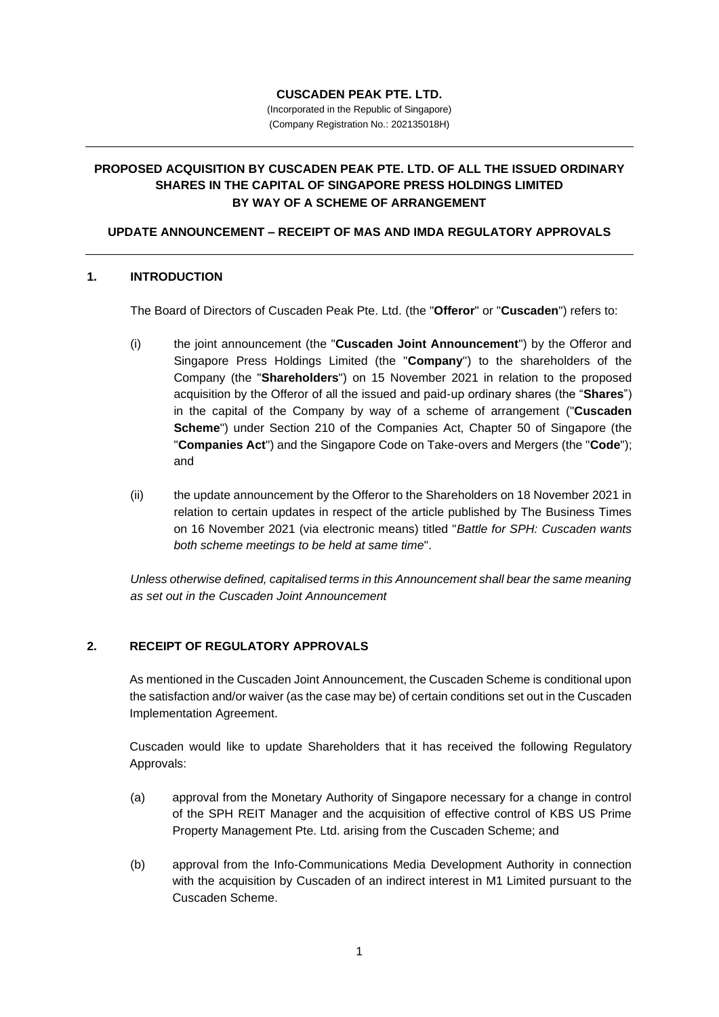## **CUSCADEN PEAK PTE. LTD.**

(Incorporated in the Republic of Singapore) (Company Registration No.: 202135018H)

# **PROPOSED ACQUISITION BY CUSCADEN PEAK PTE. LTD. OF ALL THE ISSUED ORDINARY SHARES IN THE CAPITAL OF SINGAPORE PRESS HOLDINGS LIMITED BY WAY OF A SCHEME OF ARRANGEMENT**

## **UPDATE ANNOUNCEMENT – RECEIPT OF MAS AND IMDA REGULATORY APPROVALS**

## **1. INTRODUCTION**

The Board of Directors of Cuscaden Peak Pte. Ltd. (the "**Offeror**" or "**Cuscaden**") refers to:

- (i) the joint announcement (the "**Cuscaden Joint Announcement**") by the Offeror and Singapore Press Holdings Limited (the "**Company**") to the shareholders of the Company (the "**Shareholders**") on 15 November 2021 in relation to the proposed acquisition by the Offeror of all the issued and paid-up ordinary shares (the "**Shares**") in the capital of the Company by way of a scheme of arrangement ("**Cuscaden Scheme**") under Section 210 of the Companies Act, Chapter 50 of Singapore (the "**Companies Act**") and the Singapore Code on Take-overs and Mergers (the "**Code**"); and
- (ii) the update announcement by the Offeror to the Shareholders on 18 November 2021 in relation to certain updates in respect of the article published by The Business Times on 16 November 2021 (via electronic means) titled "*Battle for SPH: Cuscaden wants both scheme meetings to be held at same time*".

*Unless otherwise defined, capitalised terms in this Announcement shall bear the same meaning as set out in the Cuscaden Joint Announcement*

## **2. RECEIPT OF REGULATORY APPROVALS**

As mentioned in the Cuscaden Joint Announcement, the Cuscaden Scheme is conditional upon the satisfaction and/or waiver (as the case may be) of certain conditions set out in the Cuscaden Implementation Agreement.

Cuscaden would like to update Shareholders that it has received the following Regulatory Approvals:

- (a) approval from the Monetary Authority of Singapore necessary for a change in control of the SPH REIT Manager and the acquisition of effective control of KBS US Prime Property Management Pte. Ltd. arising from the Cuscaden Scheme; and
- (b) approval from the Info-Communications Media Development Authority in connection with the acquisition by Cuscaden of an indirect interest in M1 Limited pursuant to the Cuscaden Scheme.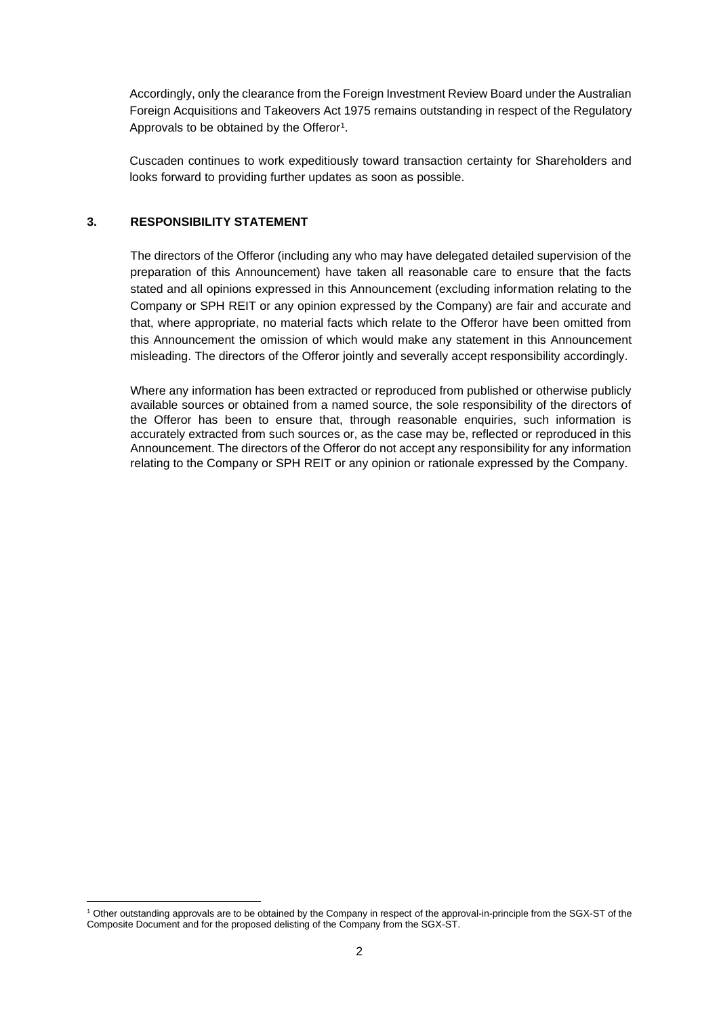Accordingly, only the clearance from the Foreign Investment Review Board under the Australian Foreign Acquisitions and Takeovers Act 1975 remains outstanding in respect of the Regulatory Approvals to be obtained by the Offeror<sup>1</sup>.

Cuscaden continues to work expeditiously toward transaction certainty for Shareholders and looks forward to providing further updates as soon as possible.

### **3. RESPONSIBILITY STATEMENT**

The directors of the Offeror (including any who may have delegated detailed supervision of the preparation of this Announcement) have taken all reasonable care to ensure that the facts stated and all opinions expressed in this Announcement (excluding information relating to the Company or SPH REIT or any opinion expressed by the Company) are fair and accurate and that, where appropriate, no material facts which relate to the Offeror have been omitted from this Announcement the omission of which would make any statement in this Announcement misleading. The directors of the Offeror jointly and severally accept responsibility accordingly.

Where any information has been extracted or reproduced from published or otherwise publicly available sources or obtained from a named source, the sole responsibility of the directors of the Offeror has been to ensure that, through reasonable enquiries, such information is accurately extracted from such sources or, as the case may be, reflected or reproduced in this Announcement. The directors of the Offeror do not accept any responsibility for any information relating to the Company or SPH REIT or any opinion or rationale expressed by the Company.

<sup>1</sup> Other outstanding approvals are to be obtained by the Company in respect of the approval-in-principle from the SGX-ST of the Composite Document and for the proposed delisting of the Company from the SGX-ST.